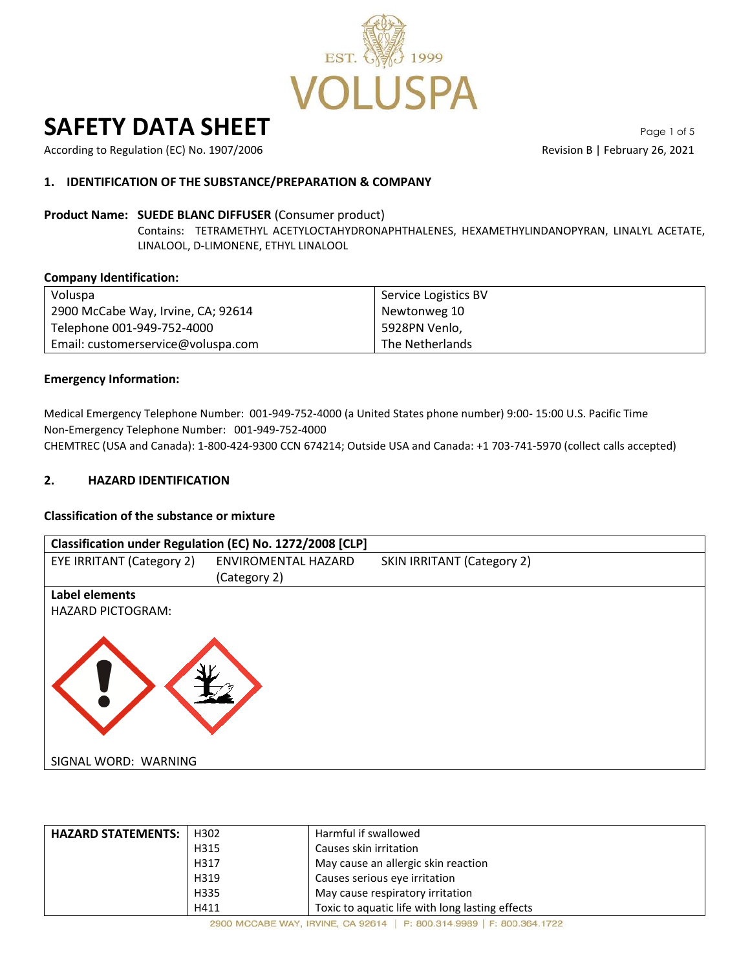

# **SAFETY DATA SHEET** Page 1 of 5

According to Regulation (EC) No. 1907/2006 **Revision B | February 26, 2021** Revision B | February 26, 2021

### **1. IDENTIFICATION OF THE SUBSTANCE/PREPARATION & COMPANY**

#### **Product Name: SUEDE BLANC DIFFUSER** (Consumer product)

Contains: TETRAMETHYL ACETYLOCTAHYDRONAPHTHALENES, HEXAMETHYLINDANOPYRAN, LINALYL ACETATE, LINALOOL, D-LIMONENE, ETHYL LINALOOL

#### **Company Identification:**

| Voluspa                            | Service Logistics BV |
|------------------------------------|----------------------|
| 2900 McCabe Way, Irvine, CA; 92614 | Newtonweg 10         |
| Telephone 001-949-752-4000         | 5928PN Venlo,        |
| Email: customerservice@voluspa.com | The Netherlands      |

#### **Emergency Information:**

Medical Emergency Telephone Number: 001-949-752-4000 (a United States phone number) 9:00- 15:00 U.S. Pacific Time Non-Emergency Telephone Number: 001-949-752-4000 CHEMTREC (USA and Canada): 1-800-424-9300 CCN 674214; Outside USA and Canada: +1 703-741-5970 (collect calls accepted)

#### **2. HAZARD IDENTIFICATION**

#### **Classification of the substance or mixture**



| <b>HAZARD STATEMENTS:</b> | H302 | Harmful if swallowed                            |
|---------------------------|------|-------------------------------------------------|
|                           | H315 | Causes skin irritation                          |
|                           | H317 | May cause an allergic skin reaction             |
|                           | H319 | Causes serious eye irritation                   |
|                           | H335 | May cause respiratory irritation                |
|                           | H411 | Toxic to aquatic life with long lasting effects |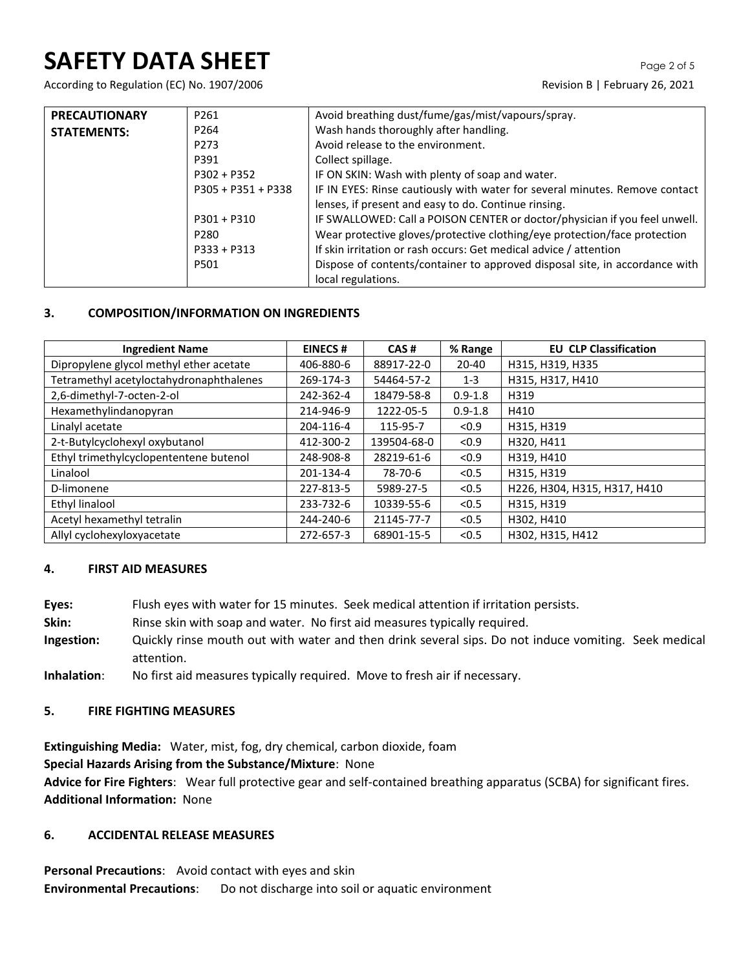## **SAFETY DATA SHEET** Page 2 of 5

According to Regulation (EC) No. 1907/2006 Revision B | February 26, 2021

| <b>PRECAUTIONARY</b> | P261                 | Avoid breathing dust/fume/gas/mist/vapours/spray.                           |
|----------------------|----------------------|-----------------------------------------------------------------------------|
| <b>STATEMENTS:</b>   | P <sub>264</sub>     | Wash hands thoroughly after handling.                                       |
|                      | P273                 | Avoid release to the environment.                                           |
|                      | P391                 | Collect spillage.                                                           |
|                      | $P302 + P352$        | IF ON SKIN: Wash with plenty of soap and water.                             |
|                      | $P305 + P351 + P338$ | IF IN EYES: Rinse cautiously with water for several minutes. Remove contact |
|                      |                      | lenses, if present and easy to do. Continue rinsing.                        |
|                      | $P301 + P310$        | IF SWALLOWED: Call a POISON CENTER or doctor/physician if you feel unwell.  |
|                      | P280                 | Wear protective gloves/protective clothing/eye protection/face protection   |
|                      | $P333 + P313$        | If skin irritation or rash occurs: Get medical advice / attention           |
|                      | P501                 | Dispose of contents/container to approved disposal site, in accordance with |
|                      |                      | local regulations.                                                          |

### **3. COMPOSITION/INFORMATION ON INGREDIENTS**

| <b>Ingredient Name</b>                  | <b>EINECS#</b> | CAS#        | % Range     | <b>EU CLP Classification</b> |
|-----------------------------------------|----------------|-------------|-------------|------------------------------|
| Dipropylene glycol methyl ether acetate | 406-880-6      | 88917-22-0  | $20 - 40$   | H315, H319, H335             |
| Tetramethyl acetyloctahydronaphthalenes | 269-174-3      | 54464-57-2  | $1 - 3$     | H315, H317, H410             |
| 2,6-dimethyl-7-octen-2-ol               | 242-362-4      | 18479-58-8  | $0.9 - 1.8$ | H319                         |
| Hexamethylindanopyran                   | 214-946-9      | 1222-05-5   | $0.9 - 1.8$ | H410                         |
| Linalyl acetate                         | 204-116-4      | 115-95-7    | < 0.9       | H315, H319                   |
| 2-t-Butylcyclohexyl oxybutanol          | 412-300-2      | 139504-68-0 | < 0.9       | H320, H411                   |
| Ethyl trimethylcyclopententene butenol  | 248-908-8      | 28219-61-6  | < 0.9       | H319, H410                   |
| Linalool                                | 201-134-4      | 78-70-6     | < 0.5       | H315, H319                   |
| D-limonene                              | 227-813-5      | 5989-27-5   | < 0.5       | H226, H304, H315, H317, H410 |
| Ethyl linalool                          | 233-732-6      | 10339-55-6  | < 0.5       | H315, H319                   |
| Acetyl hexamethyl tetralin              | 244-240-6      | 21145-77-7  | < 0.5       | H302, H410                   |
| Allyl cyclohexyloxyacetate              | 272-657-3      | 68901-15-5  | < 0.5       | H302, H315, H412             |

#### **4. FIRST AID MEASURES**

- **Eyes:** Flush eyes with water for 15 minutes. Seek medical attention if irritation persists.
- **Skin:** Rinse skin with soap and water. No first aid measures typically required.
- **Ingestion:** Quickly rinse mouth out with water and then drink several sips. Do not induce vomiting. Seek medical attention.
- **Inhalation**: No first aid measures typically required. Move to fresh air if necessary.

#### **5. FIRE FIGHTING MEASURES**

**Extinguishing Media:** Water, mist, fog, dry chemical, carbon dioxide, foam **Special Hazards Arising from the Substance/Mixture**: None **Advice for Fire Fighters**: Wear full protective gear and self-contained breathing apparatus (SCBA) for significant fires. **Additional Information:** None

#### **6. ACCIDENTAL RELEASE MEASURES**

**Personal Precautions**: Avoid contact with eyes and skin **Environmental Precautions**: Do not discharge into soil or aquatic environment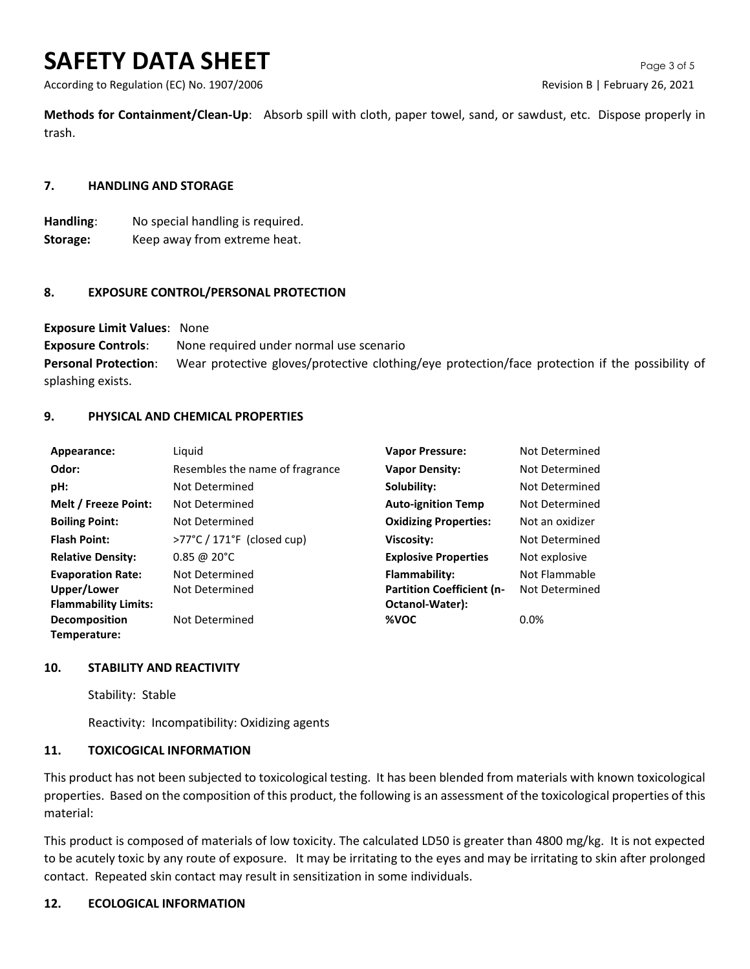## **SAFETY DATA SHEET** Page 3 of 5

According to Regulation (EC) No. 1907/2006 **Revision B | February 26, 2021** 

**Methods for Containment/Clean-Up**: Absorb spill with cloth, paper towel, sand, or sawdust, etc. Dispose properly in trash.

#### **7. HANDLING AND STORAGE**

**Handling**: No special handling is required. **Storage:** Keep away from extreme heat.

#### **8. EXPOSURE CONTROL/PERSONAL PROTECTION**

**Exposure Limit Values**: None

**Exposure Controls**: None required under normal use scenario **Personal Protection**: Wear protective gloves/protective clothing/eye protection/face protection if the possibility of splashing exists.

#### **9. PHYSICAL AND CHEMICAL PROPERTIES**

| Appearance:                 | Liquid                                          | <b>Vapor Pressure:</b>           | Not Determined  |
|-----------------------------|-------------------------------------------------|----------------------------------|-----------------|
| Odor:                       | Resembles the name of fragrance                 | <b>Vapor Density:</b>            | Not Determined  |
| pH:                         | Not Determined                                  | Solubility:                      | Not Determined  |
| Melt / Freeze Point:        | Not Determined                                  | <b>Auto-ignition Temp</b>        | Not Determined  |
| <b>Boiling Point:</b>       | Not Determined                                  | <b>Oxidizing Properties:</b>     | Not an oxidizer |
| <b>Flash Point:</b>         | $>77^{\circ}$ C / 171 $^{\circ}$ F (closed cup) | Viscosity:                       | Not Determined  |
| <b>Relative Density:</b>    | $0.85 \ @ 20^{\circ}C$                          | <b>Explosive Properties</b>      | Not explosive   |
| <b>Evaporation Rate:</b>    | Not Determined                                  | Flammability:                    | Not Flammable   |
| Upper/Lower                 | Not Determined                                  | <b>Partition Coefficient (n-</b> | Not Determined  |
| <b>Flammability Limits:</b> |                                                 | Octanol-Water):                  |                 |
| Decomposition               | Not Determined                                  | %VOC                             | 0.0%            |
| Temperature:                |                                                 |                                  |                 |

#### **10. STABILITY AND REACTIVITY**

Stability: Stable

Reactivity: Incompatibility: Oxidizing agents

#### **11. TOXICOGICAL INFORMATION**

This product has not been subjected to toxicological testing. It has been blended from materials with known toxicological properties. Based on the composition of this product, the following is an assessment of the toxicological properties of this material:

This product is composed of materials of low toxicity. The calculated LD50 is greater than 4800 mg/kg. It is not expected to be acutely toxic by any route of exposure. It may be irritating to the eyes and may be irritating to skin after prolonged contact. Repeated skin contact may result in sensitization in some individuals.

#### **12. ECOLOGICAL INFORMATION**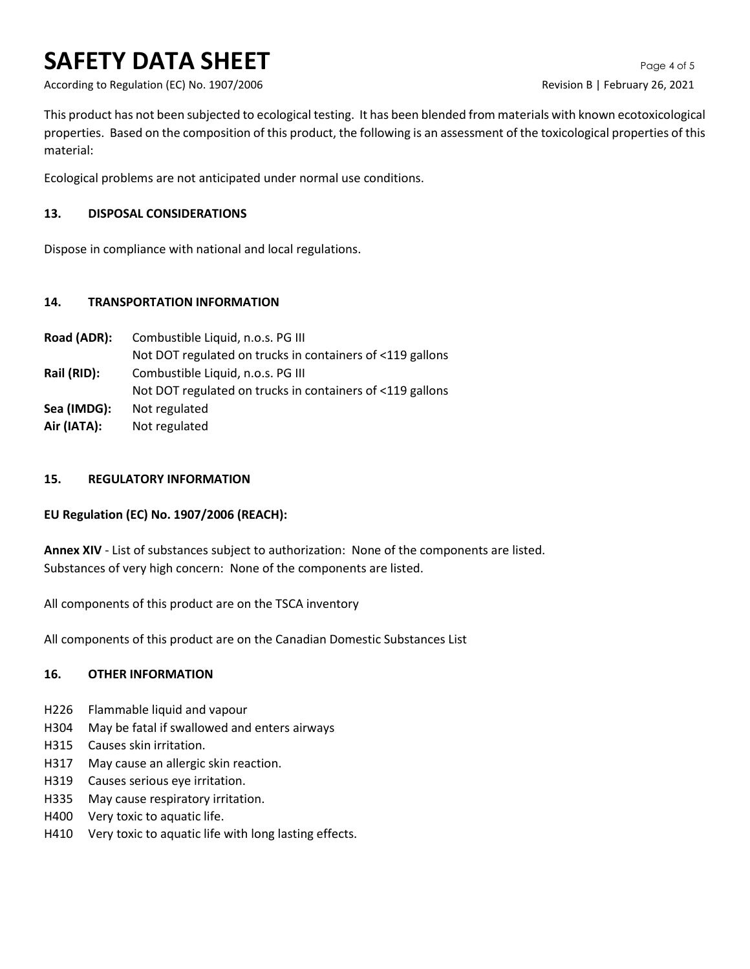## **SAFETY DATA SHEET** Page 4 of 5

According to Regulation (EC) No. 1907/2006 **Revision B | February 26, 2021** 

This product has not been subjected to ecological testing. It has been blended from materials with known ecotoxicological properties. Based on the composition of this product, the following is an assessment of the toxicological properties of this material:

Ecological problems are not anticipated under normal use conditions.

### **13. DISPOSAL CONSIDERATIONS**

Dispose in compliance with national and local regulations.

### **14. TRANSPORTATION INFORMATION**

**Road (ADR):** Combustible Liquid, n.o.s. PG III Not DOT regulated on trucks in containers of <119 gallons **Rail (RID):** Combustible Liquid, n.o.s. PG III Not DOT regulated on trucks in containers of <119 gallons **Sea (IMDG):** Not regulated **Air (IATA):** Not regulated

#### **15. REGULATORY INFORMATION**

## **EU Regulation (EC) No. 1907/2006 (REACH):**

**Annex XIV** - List of substances subject to authorization: None of the components are listed. Substances of very high concern: None of the components are listed.

All components of this product are on the TSCA inventory

All components of this product are on the Canadian Domestic Substances List

## **16. OTHER INFORMATION**

- H226 Flammable liquid and vapour
- H304 May be fatal if swallowed and enters airways
- H315 Causes skin irritation.
- H317 May cause an allergic skin reaction.
- H319 Causes serious eye irritation.
- H335 May cause respiratory irritation.
- H400 Very toxic to aquatic life.
- H410 Very toxic to aquatic life with long lasting effects.